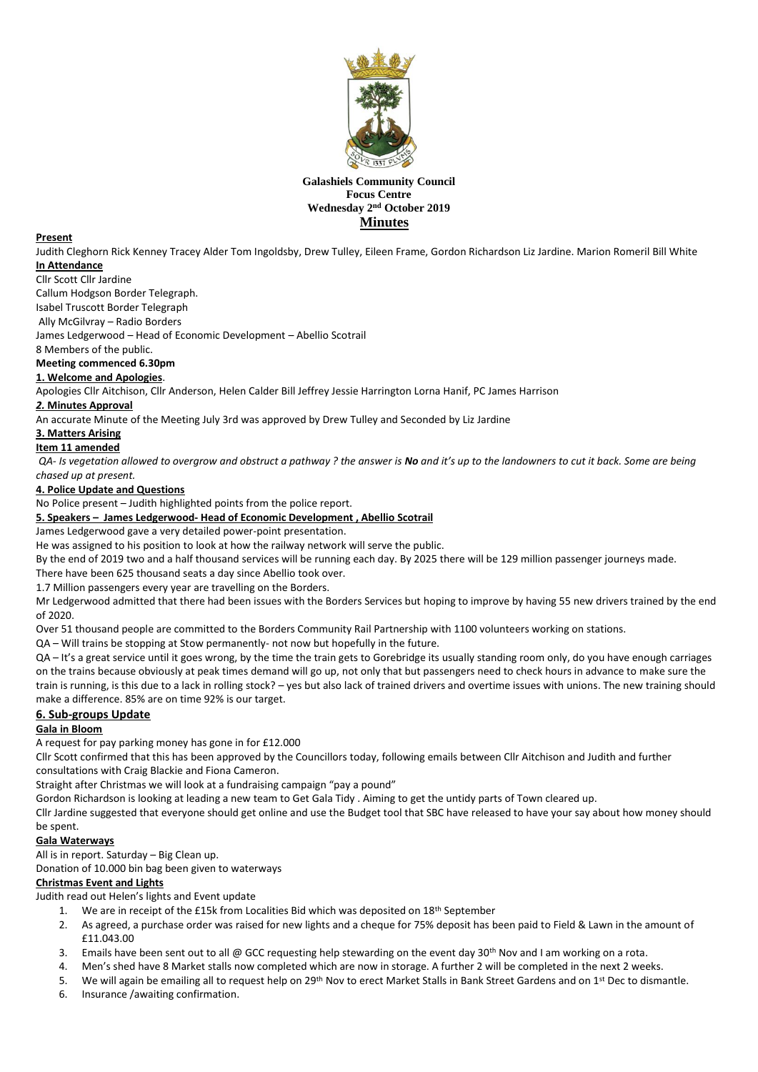

# **Galashiels Community Council Focus Centre Wednesday 2 nd October 2019 Minutes**

#### **Present**

Judith Cleghorn Rick Kenney Tracey Alder Tom Ingoldsby, Drew Tulley, Eileen Frame, Gordon Richardson Liz Jardine. Marion Romeril Bill White **In Attendance**

#### Cllr Scott Cllr Jardine

Callum Hodgson Border Telegraph.

Isabel Truscott Border Telegraph

Ally McGilvray – Radio Borders

James Ledgerwood – Head of Economic Development – Abellio Scotrail

8 Members of the public.

## **Meeting commenced 6.30pm**

## **1. Welcome and Apologies**.

Apologies Cllr Aitchison, Cllr Anderson, Helen Calder Bill Jeffrey Jessie Harrington Lorna Hanif, PC James Harrison

## *2.* **Minutes Approval**

An accurate Minute of the Meeting July 3rd was approved by Drew Tulley and Seconded by Liz Jardine

#### **3. Matters Arising**

## **Item 11 amended**

*QA- Is vegetation allowed to overgrow and obstruct a pathway ? the answer is No and it's up to the landowners to cut it back. Some are being chased up at present.* 

## **4. Police Update and Questions**

No Police present – Judith highlighted points from the police report.

## **5. Speakers – James Ledgerwood- Head of Economic Development , Abellio Scotrail**

James Ledgerwood gave a very detailed power-point presentation.

He was assigned to his position to look at how the railway network will serve the public.

By the end of 2019 two and a half thousand services will be running each day. By 2025 there will be 129 million passenger journeys made. There have been 625 thousand seats a day since Abellio took over.

1.7 Million passengers every year are travelling on the Borders.

Mr Ledgerwood admitted that there had been issues with the Borders Services but hoping to improve by having 55 new drivers trained by the end of 2020.

Over 51 thousand people are committed to the Borders Community Rail Partnership with 1100 volunteers working on stations.

QA – Will trains be stopping at Stow permanently- not now but hopefully in the future.

QA – It's a great service until it goes wrong, by the time the train gets to Gorebridge its usually standing room only, do you have enough carriages on the trains because obviously at peak times demand will go up, not only that but passengers need to check hours in advance to make sure the train is running, is this due to a lack in rolling stock? – yes but also lack of trained drivers and overtime issues with unions. The new training should make a difference. 85% are on time 92% is our target.

# **6. Sub-groups Update**

# **Gala in Bloom**

A request for pay parking money has gone in for £12.000

Cllr Scott confirmed that this has been approved by the Councillors today, following emails between Cllr Aitchison and Judith and further consultations with Craig Blackie and Fiona Cameron.

Straight after Christmas we will look at a fundraising campaign "pay a pound"

Gordon Richardson is looking at leading a new team to Get Gala Tidy . Aiming to get the untidy parts of Town cleared up.

Cllr Jardine suggested that everyone should get online and use the Budget tool that SBC have released to have your say about how money should be spent.

# **Gala Waterways**

All is in report. Saturday – Big Clean up.

Donation of 10.000 bin bag been given to waterways

# **Christmas Event and Lights**

Judith read out Helen's lights and Event update

- 1. We are in receipt of the £15k from Localities Bid which was deposited on 18<sup>th</sup> September
- 2. As agreed, a purchase order was raised for new lights and a cheque for 75% deposit has been paid to Field & Lawn in the amount of £11.043.00
- 3. Emails have been sent out to all @ GCC requesting help stewarding on the event day 30<sup>th</sup> Nov and I am working on a rota.
- 4. Men's shed have 8 Market stalls now completed which are now in storage. A further 2 will be completed in the next 2 weeks.
- 5. We will again be emailing all to request help on 29<sup>th</sup> Nov to erect Market Stalls in Bank Street Gardens and on 1<sup>st</sup> Dec to dismantle.
- 6. Insurance /awaiting confirmation.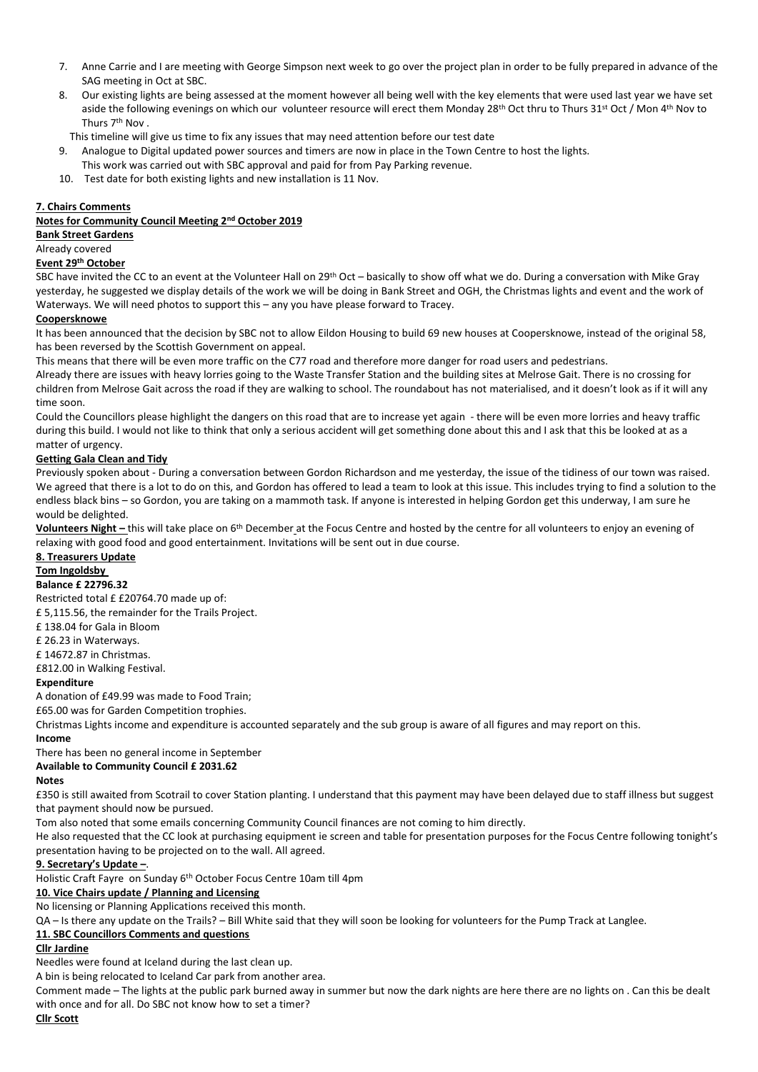- 7. Anne Carrie and I are meeting with George Simpson next week to go over the project plan in order to be fully prepared in advance of the SAG meeting in Oct at SBC.
- 8. Our existing lights are being assessed at the moment however all being well with the key elements that were used last year we have set aside the following evenings on which our volunteer resource will erect them Monday 28<sup>th</sup> Oct thru to Thurs 31<sup>st</sup> Oct / Mon 4<sup>th</sup> Nov to Thurs 7<sup>th</sup> Nov .
- This timeline will give us time to fix any issues that may need attention before our test date
- 9. Analogue to Digital updated power sources and timers are now in place in the Town Centre to host the lights. This work was carried out with SBC approval and paid for from Pay Parking revenue.
- 10. Test date for both existing lights and new installation is 11 Nov.

#### **7. Chairs Comments**

## **Notes for Community Council Meeting 2nd October 2019**

#### **Bank Street Gardens**

Already covered

## **Event 29th October**

SBC have invited the CC to an event at the Volunteer Hall on 29<sup>th</sup> Oct – basically to show off what we do. During a conversation with Mike Gray yesterday, he suggested we display details of the work we will be doing in Bank Street and OGH, the Christmas lights and event and the work of Waterways. We will need photos to support this – any you have please forward to Tracey.

## **Coopersknowe**

It has been announced that the decision by SBC not to allow Eildon Housing to build 69 new houses at Coopersknowe, instead of the original 58, has been reversed by the Scottish Government on appeal.

This means that there will be even more traffic on the C77 road and therefore more danger for road users and pedestrians.

Already there are issues with heavy lorries going to the Waste Transfer Station and the building sites at Melrose Gait. There is no crossing for children from Melrose Gait across the road if they are walking to school. The roundabout has not materialised, and it doesn't look as if it will any time soon.

Could the Councillors please highlight the dangers on this road that are to increase yet again - there will be even more lorries and heavy traffic during this build. I would not like to think that only a serious accident will get something done about this and I ask that this be looked at as a matter of urgency.

## **Getting Gala Clean and Tidy**

Previously spoken about - During a conversation between Gordon Richardson and me yesterday, the issue of the tidiness of our town was raised. We agreed that there is a lot to do on this, and Gordon has offered to lead a team to look at this issue. This includes trying to find a solution to the endless black bins – so Gordon, you are taking on a mammoth task. If anyone is interested in helping Gordon get this underway, I am sure he would be delighted.

**Volunteers Night –** this will take place on 6th December at the Focus Centre and hosted by the centre for all volunteers to enjoy an evening of relaxing with good food and good entertainment. Invitations will be sent out in due course.

# **8. Treasurers Update**

**Tom Ingoldsby** 

#### **Balance £ 22796.32**

Restricted total £ £20764.70 made up of: £ 5,115.56, the remainder for the Trails Project. £ 138.04 for Gala in Bloom £ 26.23 in Waterways. £ 14672.87 in Christmas. £812.00 in Walking Festival. **Expenditure** A donation of £49.99 was made to Food Train;

£65.00 was for Garden Competition trophies.

Christmas Lights income and expenditure is accounted separately and the sub group is aware of all figures and may report on this.

#### **Income**

There has been no general income in September

## **Available to Community Council £ 2031.62**

# **Notes**

£350 is still awaited from Scotrail to cover Station planting. I understand that this payment may have been delayed due to staff illness but suggest that payment should now be pursued.

Tom also noted that some emails concerning Community Council finances are not coming to him directly.

He also requested that the CC look at purchasing equipment ie screen and table for presentation purposes for the Focus Centre following tonight's presentation having to be projected on to the wall. All agreed.

# **9. Secretary's Update –**.

Holistic Craft Fayre on Sunday 6th October Focus Centre 10am till 4pm

#### **10. Vice Chairs update / Planning and Licensing**

No licensing or Planning Applications received this month.

QA – Is there any update on the Trails? – Bill White said that they will soon be looking for volunteers for the Pump Track at Langlee.

# **11. SBC Councillors Comments and questions**

## **Cllr Jardine**

Needles were found at Iceland during the last clean up.

A bin is being relocated to Iceland Car park from another area.

Comment made – The lights at the public park burned away in summer but now the dark nights are here there are no lights on . Can this be dealt with once and for all. Do SBC not know how to set a timer?

#### **Cllr Scott**